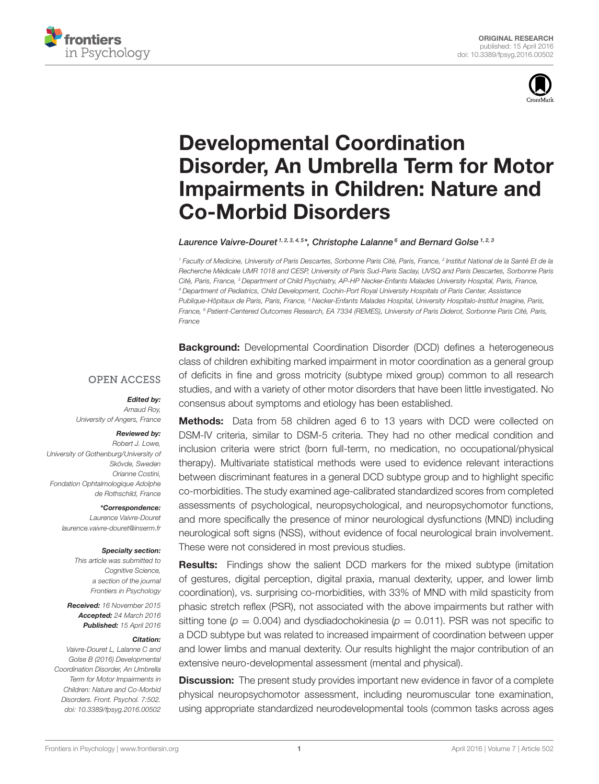



# Developmental Coordination [Disorder, An Umbrella Term for Motor](http://journal.frontiersin.org/article/10.3389/fpsyg.2016.00502/abstract) Impairments in Children: Nature and Co-Morbid Disorders

### [Laurence Vaivre-Douret](http://loop.frontiersin.org/people/275755/overview)<sup>1,2,3,4,5\*</sup>, [Christophe Lalanne](http://loop.frontiersin.org/people/317337/overview)<sup>6</sup> and Bernard Golse<sup>1,2,3</sup>

<sup>1</sup> Faculty of Medicine, University of Paris Descartes, Sorbonne Paris Cité, Paris, France, <sup>2</sup> Institut National de la Santé Et de la Recherche Médicale UMR 1018 and CESP, University of Paris Sud-Paris Saclay, UVSQ and Paris Descartes, Sorbonne Paris Cité, Paris, France, <sup>3</sup> Department of Child Psychiatry, AP-HP Necker-Enfants Malades University Hospital, Paris, France, <sup>4</sup> Department of Pediatrics, Child Development, Cochin-Port Royal University Hospitals of Paris Center, Assistance Publique-Hôpitaux de Paris, Paris, France, <sup>5</sup> Necker-Enfants Malades Hospital, University Hospitalo-Institut Imagine, Paris, France, <sup>6</sup> Patient-Centered Outcomes Research, EA 7334 (REMES), University of Paris Diderot, Sorbonne Paris Cité, Paris, France

**OPEN ACCESS** 

#### Edited by:

Arnaud Roy, University of Angers, France

#### Reviewed by:

Robert J. Lowe, University of Gothenburg/University of Skövde, Sweden Orianne Costini, Fondation Ophtalmologique Adolphe de Rothschild, France

\*Correspondence:

Laurence Vaivre-Douret [laurence.vaivre-douret@inserm.fr](mailto:laurence.vaivre-douret@inserm.fr)

#### Specialty section:

This article was submitted to Cognitive Science, a section of the journal Frontiers in Psychology

Received: 16 November 2015 Accepted: 24 March 2016 Published: 15 April 2016

#### Citation:

Vaivre-Douret L, Lalanne C and Golse B (2016) Developmental Coordination Disorder, An Umbrella Term for Motor Impairments in Children: Nature and Co-Morbid Disorders. Front. Psychol. 7:502. doi: [10.3389/fpsyg.2016.00502](http://dx.doi.org/10.3389/fpsyg.2016.00502) **Background:** Developmental Coordination Disorder (DCD) defines a heterogeneous class of children exhibiting marked impairment in motor coordination as a general group of deficits in fine and gross motricity (subtype mixed group) common to all research studies, and with a variety of other motor disorders that have been little investigated. No consensus about symptoms and etiology has been established.

Methods: Data from 58 children aged 6 to 13 years with DCD were collected on DSM-IV criteria, similar to DSM-5 criteria. They had no other medical condition and inclusion criteria were strict (born full-term, no medication, no occupational/physical therapy). Multivariate statistical methods were used to evidence relevant interactions between discriminant features in a general DCD subtype group and to highlight specific co-morbidities. The study examined age-calibrated standardized scores from completed assessments of psychological, neuropsychological, and neuropsychomotor functions, and more specifically the presence of minor neurological dysfunctions (MND) including neurological soft signs (NSS), without evidence of focal neurological brain involvement. These were not considered in most previous studies.

**Results:** Findings show the salient DCD markers for the mixed subtype (imitation of gestures, digital perception, digital praxia, manual dexterity, upper, and lower limb coordination), vs. surprising co-morbidities, with 33% of MND with mild spasticity from phasic stretch reflex (PSR), not associated with the above impairments but rather with sitting tone ( $p = 0.004$ ) and dysdiadochokinesia ( $p = 0.011$ ). PSR was not specific to a DCD subtype but was related to increased impairment of coordination between upper and lower limbs and manual dexterity. Our results highlight the major contribution of an extensive neuro-developmental assessment (mental and physical).

**Discussion:** The present study provides important new evidence in favor of a complete physical neuropsychomotor assessment, including neuromuscular tone examination, using appropriate standardized neurodevelopmental tools (common tasks across ages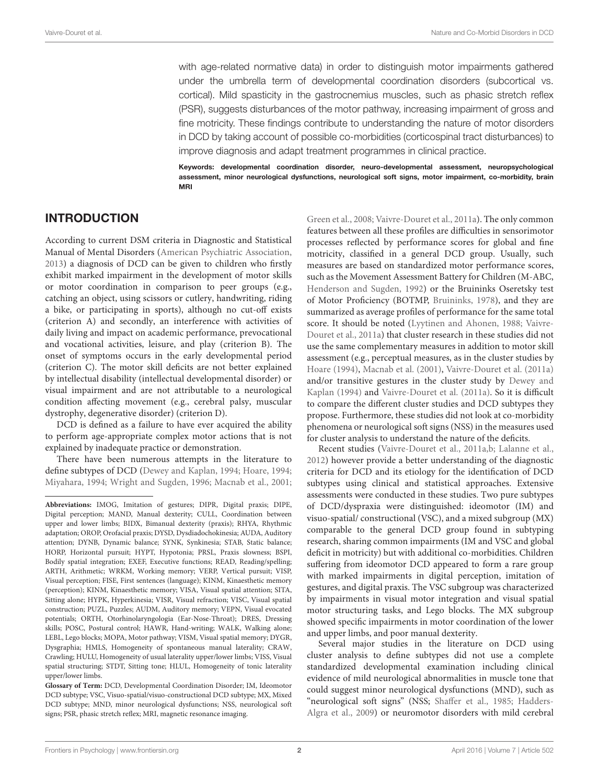with age-related normative data) in order to distinguish motor impairments gathered under the umbrella term of developmental coordination disorders (subcortical vs. cortical). Mild spasticity in the gastrocnemius muscles, such as phasic stretch reflex (PSR), suggests disturbances of the motor pathway, increasing impairment of gross and fine motricity. These findings contribute to understanding the nature of motor disorders in DCD by taking account of possible co-morbidities (corticospinal tract disturbances) to improve diagnosis and adapt treatment programmes in clinical practice.

Keywords: developmental coordination disorder, neuro-developmental assessment, neuropsychological assessment, minor neurological dysfunctions, neurological soft signs, motor impairment, co-morbidity, brain MRI

# INTRODUCTION

According to current DSM criteria in Diagnostic and Statistical Manual of Mental Disorders [\(American Psychiatric Association,](#page-11-0) [2013\)](#page-11-0) a diagnosis of DCD can be given to children who firstly exhibit marked impairment in the development of motor skills or motor coordination in comparison to peer groups (e.g., catching an object, using scissors or cutlery, handwriting, riding a bike, or participating in sports), although no cut-off exists (criterion A) and secondly, an interference with activities of daily living and impact on academic performance, prevocational and vocational activities, leisure, and play (criterion B). The onset of symptoms occurs in the early developmental period (criterion C). The motor skill deficits are not better explained by intellectual disability (intellectual developmental disorder) or visual impairment and are not attributable to a neurological condition affecting movement (e.g., cerebral palsy, muscular dystrophy, degenerative disorder) (criterion D).

DCD is defined as a failure to have ever acquired the ability to perform age-appropriate complex motor actions that is not explained by inadequate practice or demonstration.

There have been numerous attempts in the literature to define subtypes of DCD [\(Dewey and Kaplan, 1994;](#page-11-1) [Hoare, 1994;](#page-11-2) [Miyahara, 1994;](#page-11-3) [Wright and Sugden, 1996;](#page-12-0) [Macnab et al., 2001;](#page-11-4) [Green et al., 2008;](#page-11-5) [Vaivre-Douret et al., 2011a\)](#page-12-1). The only common features between all these profiles are difficulties in sensorimotor processes reflected by performance scores for global and fine motricity, classified in a general DCD group. Usually, such measures are based on standardized motor performance scores, such as the Movement Assessment Battery for Children (M-ABC, [Henderson and Sugden, 1992\)](#page-11-6) or the Bruininks Oseretsky test of Motor Proficiency (BOTMP, [Bruininks, 1978\)](#page-11-7), and they are summarized as average profiles of performance for the same total score. It should be noted [\(Lyytinen and Ahonen, 1988;](#page-11-8) Vaivre-Douret et al., [2011a\)](#page-12-1) that cluster research in these studies did not use the same complementary measures in addition to motor skill assessment (e.g., perceptual measures, as in the cluster studies by [Hoare \(1994\)](#page-11-2), [Macnab et al. \(2001\)](#page-11-4), [Vaivre-Douret et al. \(2011a\)](#page-12-1) and/or transitive gestures in the cluster study by Dewey and Kaplan [\(1994\)](#page-11-1) and [Vaivre-Douret et al. \(2011a\)](#page-12-1). So it is difficult to compare the different cluster studies and DCD subtypes they propose. Furthermore, these studies did not look at co-morbidity phenomena or neurological soft signs (NSS) in the measures used for cluster analysis to understand the nature of the deficits.

Recent studies [\(Vaivre-Douret et al., 2011a,](#page-12-1)[b;](#page-12-2) [Lalanne et al.,](#page-11-9) [2012\)](#page-11-9) however provide a better understanding of the diagnostic criteria for DCD and its etiology for the identification of DCD subtypes using clinical and statistical approaches. Extensive assessments were conducted in these studies. Two pure subtypes of DCD/dyspraxia were distinguished: ideomotor (IM) and visuo-spatial/ constructional (VSC), and a mixed subgroup (MX) comparable to the general DCD group found in subtyping research, sharing common impairments (IM and VSC and global deficit in motricity) but with additional co-morbidities. Children suffering from ideomotor DCD appeared to form a rare group with marked impairments in digital perception, imitation of gestures, and digital praxis. The VSC subgroup was characterized by impairments in visual motor integration and visual spatial motor structuring tasks, and Lego blocks. The MX subgroup showed specific impairments in motor coordination of the lower and upper limbs, and poor manual dexterity.

Several major studies in the literature on DCD using cluster analysis to define subtypes did not use a complete standardized developmental examination including clinical evidence of mild neurological abnormalities in muscle tone that could suggest minor neurological dysfunctions (MND), such as "neurological soft signs" (NSS; [Shaffer et al., 1985;](#page-11-10) Hadders-Algra et al., [2009\)](#page-11-11) or neuromotor disorders with mild cerebral

**Abbreviations:** IMOG, Imitation of gestures; DIPR, Digital praxis; DIPE, Digital perception; MAND, Manual dexterity; CULL, Coordination between upper and lower limbs; BIDX, Bimanual dexterity (praxis); RHYA, Rhythmic adaptation; OROP, Orofacial praxis; DYSD, Dysdiadochokinesia; AUDA, Auditory attention; DYNB, Dynamic balance; SYNK, Synkinesia; STAB, Static balance; HORP, Horizontal pursuit; HYPT, Hypotonia; PRSL, Praxis slowness; BSPI, Bodily spatial integration; EXEF, Executive functions; READ, Reading/spelling; ARTH, Arithmetic; WRKM, Working memory; VERP, Vertical pursuit; VISP, Visual perception; FISE, First sentences (language); KINM, Kinaesthetic memory (perception); KINM, Kinaesthetic memory; VISA, Visual spatial attention; SITA, Sitting alone; HYPK, Hyperkinesia; VISR, Visual refraction; VISC, Visual spatial construction; PUZL, Puzzles; AUDM, Auditory memory; VEPN, Visual evocated potentials; ORTH, Otorhinolaryngologia (Ear-Nose-Throat); DRES, Dressing skills; POSC, Postural control; HAWR, Hand-writing; WALK, Walking alone; LEBL, Lego blocks; MOPA, Motor pathway; VISM, Visual spatial memory; DYGR, Dysgraphia; HMLS, Homogeneity of spontaneous manual laterality; CRAW, Crawling; HULU, Homogeneity of usual laterality upper/lower limbs; VISS, Visual spatial structuring; STDT, Sitting tone; HLUL, Homogeneity of tonic laterality upper/lower limbs.

**Glossary of Term:** DCD, Developmental Coordination Disorder; IM, Ideomotor DCD subtype; VSC, Visuo-spatial/visuo-constructional DCD subtype; MX, Mixed DCD subtype; MND, minor neurological dysfunctions; NSS, neurological soft signs; PSR, phasic stretch reflex; MRI, magnetic resonance imaging.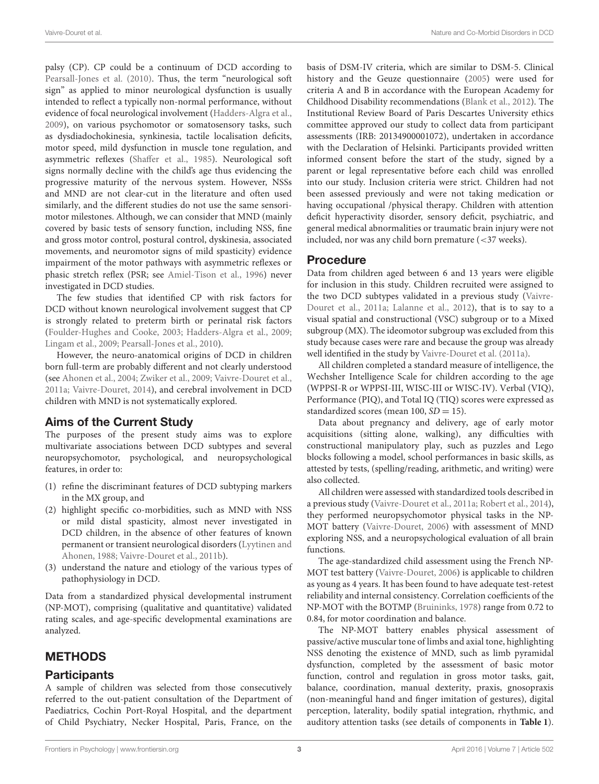palsy (CP). CP could be a continuum of DCD according to [Pearsall-Jones et al. \(2010\)](#page-11-12). Thus, the term "neurological soft sign" as applied to minor neurological dysfunction is usually intended to reflect a typically non-normal performance, without evidence of focal neurological involvement [\(Hadders-Algra et al.,](#page-11-11) [2009\)](#page-11-11), on various psychomotor or somatosensory tasks, such as dysdiadochokinesia, synkinesia, tactile localisation deficits, motor speed, mild dysfunction in muscle tone regulation, and asymmetric reflexes [\(Shaffer et al., 1985\)](#page-11-10). Neurological soft signs normally decline with the child's age thus evidencing the progressive maturity of the nervous system. However, NSSs and MND are not clear-cut in the literature and often used similarly, and the different studies do not use the same sensorimotor milestones. Although, we can consider that MND (mainly covered by basic tests of sensory function, including NSS, fine and gross motor control, postural control, dyskinesia, associated movements, and neuromotor signs of mild spasticity) evidence impairment of the motor pathways with asymmetric reflexes or phasic stretch reflex (PSR; see [Amiel-Tison et al., 1996\)](#page-11-13) never investigated in DCD studies.

The few studies that identified CP with risk factors for DCD without known neurological involvement suggest that CP is strongly related to preterm birth or perinatal risk factors [\(Foulder-Hughes and Cooke, 2003;](#page-11-14) [Hadders-Algra et al., 2009;](#page-11-11) [Lingam et al., 2009;](#page-11-15) [Pearsall-Jones et al., 2010\)](#page-11-12).

However, the neuro-anatomical origins of DCD in children born full-term are probably different and not clearly understood (see [Ahonen et al., 2004;](#page-11-16) [Zwiker et al., 2009;](#page-12-3) [Vaivre-Douret et al.,](#page-12-1) [2011a;](#page-12-1) [Vaivre-Douret, 2014\)](#page-12-4), and cerebral involvement in DCD children with MND is not systematically explored.

# Aims of the Current Study

The purposes of the present study aims was to explore multivariate associations between DCD subtypes and several neuropsychomotor, psychological, and neuropsychological features, in order to:

- (1) refine the discriminant features of DCD subtyping markers in the MX group, and
- (2) highlight specific co-morbidities, such as MND with NSS or mild distal spasticity, almost never investigated in DCD children, in the absence of other features of known permanent or transient neurological disorders (Lyytinen and Ahonen, [1988;](#page-11-8) [Vaivre-Douret et al., 2011b\)](#page-12-2).
- (3) understand the nature and etiology of the various types of pathophysiology in DCD.

Data from a standardized physical developmental instrument (NP-MOT), comprising (qualitative and quantitative) validated rating scales, and age-specific developmental examinations are analyzed.

# **METHODS**

# **Participants**

A sample of children was selected from those consecutively referred to the out-patient consultation of the Department of Paediatrics, Cochin Port-Royal Hospital, and the department of Child Psychiatry, Necker Hospital, Paris, France, on the basis of DSM-IV criteria, which are similar to DSM-5. Clinical history and the Geuze questionnaire [\(2005\)](#page-11-17) were used for criteria A and B in accordance with the European Academy for Childhood Disability recommendations [\(Blank et al., 2012\)](#page-11-18). The Institutional Review Board of Paris Descartes University ethics committee approved our study to collect data from participant assessments (IRB: 20134900001072), undertaken in accordance with the Declaration of Helsinki. Participants provided written informed consent before the start of the study, signed by a parent or legal representative before each child was enrolled into our study. Inclusion criteria were strict. Children had not been assessed previously and were not taking medication or having occupational /physical therapy. Children with attention deficit hyperactivity disorder, sensory deficit, psychiatric, and general medical abnormalities or traumatic brain injury were not included, nor was any child born premature (<37 weeks).

# Procedure

Data from children aged between 6 and 13 years were eligible for inclusion in this study. Children recruited were assigned to the two DCD subtypes validated in a previous study (Vaivre-Douret et al., [2011a;](#page-12-1) [Lalanne et al., 2012\)](#page-11-9), that is to say to a visual spatial and constructional (VSC) subgroup or to a Mixed subgroup (MX). The ideomotor subgroup was excluded from this study because cases were rare and because the group was already well identified in the study by [Vaivre-Douret et al. \(2011a\)](#page-12-1).

All children completed a standard measure of intelligence, the Wechsher Intelligence Scale for children according to the age (WPPSI-R or WPPSI-III, WISC-III or WISC-IV). Verbal (VIQ), Performance (PIQ), and Total IQ (TIQ) scores were expressed as standardized scores (mean 100,  $SD = 15$ ).

Data about pregnancy and delivery, age of early motor acquisitions (sitting alone, walking), any difficulties with constructional manipulatory play, such as puzzles and Lego blocks following a model, school performances in basic skills, as attested by tests, (spelling/reading, arithmetic, and writing) were also collected.

All children were assessed with standardized tools described in a previous study [\(Vaivre-Douret et al., 2011a;](#page-12-1) [Robert et al., 2014\)](#page-11-19), they performed neuropsychomotor physical tasks in the NP-MOT battery [\(Vaivre-Douret, 2006\)](#page-12-5) with assessment of MND exploring NSS, and a neuropsychological evaluation of all brain functions.

The age-standardized child assessment using the French NP-MOT test battery [\(Vaivre-Douret, 2006\)](#page-12-5) is applicable to children as young as 4 years. It has been found to have adequate test-retest reliability and internal consistency. Correlation coefficients of the NP-MOT with the BOTMP [\(Bruininks, 1978\)](#page-11-7) range from 0.72 to 0.84, for motor coordination and balance.

The NP-MOT battery enables physical assessment of passive/active muscular tone of limbs and axial tone, highlighting NSS denoting the existence of MND, such as limb pyramidal dysfunction, completed by the assessment of basic motor function, control and regulation in gross motor tasks, gait, balance, coordination, manual dexterity, praxis, gnosopraxis (non-meaningful hand and finger imitation of gestures), digital perception, laterality, bodily spatial integration, rhythmic, and auditory attention tasks (see details of components in **[Table 1](#page-3-0)**).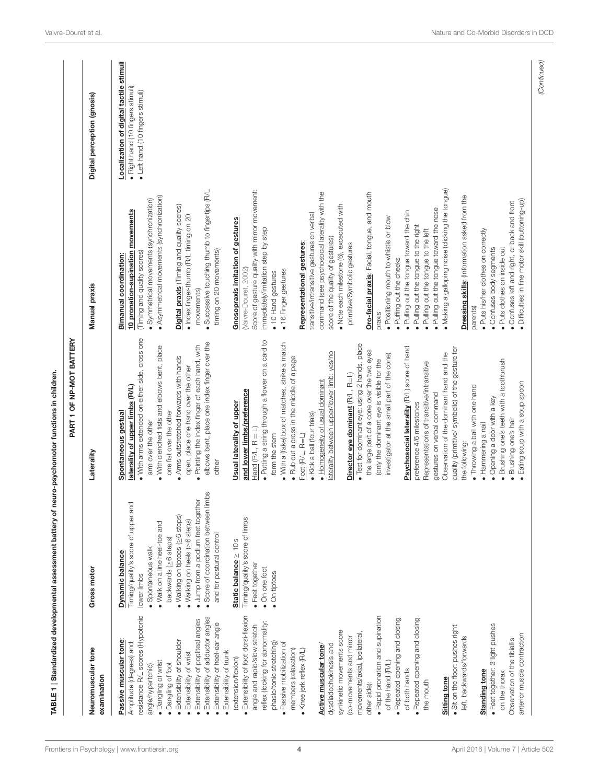|                                                                                                                                                                                                                                                                                                                                                                                                                                                                                                                                                                                                                                                                                                                                                                                                                                                                                                                                                                                                                                                                                                                                     | TABLE 1 Standardized developmental assessment battery of ne                                                                                                                                                                                                                                                                                                                                                                                               | uro-psychomotor functions in children.                                                                                                                                                                                                                                                                                                                                                                                                                                                                                                                                                                                                                                                                                                                                                                                                                                                                                                                                                                                                                                                                                                                                                                                                                                                                                                                                                                                                                          |                                                                                                                                                                                                                                                                                                                                                                                                                                                                                                                                                                                                                                                                                                                                                                                                                                                                                                                                                                                                                                                                                                                                                                                                                                                                                                                                                                                                             |                                                                                                                  |
|-------------------------------------------------------------------------------------------------------------------------------------------------------------------------------------------------------------------------------------------------------------------------------------------------------------------------------------------------------------------------------------------------------------------------------------------------------------------------------------------------------------------------------------------------------------------------------------------------------------------------------------------------------------------------------------------------------------------------------------------------------------------------------------------------------------------------------------------------------------------------------------------------------------------------------------------------------------------------------------------------------------------------------------------------------------------------------------------------------------------------------------|-----------------------------------------------------------------------------------------------------------------------------------------------------------------------------------------------------------------------------------------------------------------------------------------------------------------------------------------------------------------------------------------------------------------------------------------------------------|-----------------------------------------------------------------------------------------------------------------------------------------------------------------------------------------------------------------------------------------------------------------------------------------------------------------------------------------------------------------------------------------------------------------------------------------------------------------------------------------------------------------------------------------------------------------------------------------------------------------------------------------------------------------------------------------------------------------------------------------------------------------------------------------------------------------------------------------------------------------------------------------------------------------------------------------------------------------------------------------------------------------------------------------------------------------------------------------------------------------------------------------------------------------------------------------------------------------------------------------------------------------------------------------------------------------------------------------------------------------------------------------------------------------------------------------------------------------|-------------------------------------------------------------------------------------------------------------------------------------------------------------------------------------------------------------------------------------------------------------------------------------------------------------------------------------------------------------------------------------------------------------------------------------------------------------------------------------------------------------------------------------------------------------------------------------------------------------------------------------------------------------------------------------------------------------------------------------------------------------------------------------------------------------------------------------------------------------------------------------------------------------------------------------------------------------------------------------------------------------------------------------------------------------------------------------------------------------------------------------------------------------------------------------------------------------------------------------------------------------------------------------------------------------------------------------------------------------------------------------------------------------|------------------------------------------------------------------------------------------------------------------|
|                                                                                                                                                                                                                                                                                                                                                                                                                                                                                                                                                                                                                                                                                                                                                                                                                                                                                                                                                                                                                                                                                                                                     |                                                                                                                                                                                                                                                                                                                                                                                                                                                           | PART 1 OF NP-MOT BATTERY                                                                                                                                                                                                                                                                                                                                                                                                                                                                                                                                                                                                                                                                                                                                                                                                                                                                                                                                                                                                                                                                                                                                                                                                                                                                                                                                                                                                                                        |                                                                                                                                                                                                                                                                                                                                                                                                                                                                                                                                                                                                                                                                                                                                                                                                                                                                                                                                                                                                                                                                                                                                                                                                                                                                                                                                                                                                             |                                                                                                                  |
| Neuromuscular tone<br>examination                                                                                                                                                                                                                                                                                                                                                                                                                                                                                                                                                                                                                                                                                                                                                                                                                                                                                                                                                                                                                                                                                                   | Gross motor                                                                                                                                                                                                                                                                                                                                                                                                                                               | Laterality                                                                                                                                                                                                                                                                                                                                                                                                                                                                                                                                                                                                                                                                                                                                                                                                                                                                                                                                                                                                                                                                                                                                                                                                                                                                                                                                                                                                                                                      | Manual praxis                                                                                                                                                                                                                                                                                                                                                                                                                                                                                                                                                                                                                                                                                                                                                                                                                                                                                                                                                                                                                                                                                                                                                                                                                                                                                                                                                                                               | Digital perception (gnosis)                                                                                      |
| resistance R/L scores (Hypotonic<br>· Extensibility of foot dorsi-flexion<br>· Rapid pronation and supination<br>· Extensibility of adductor angles<br>· Repeated opening and closing<br>· Repeated opening and closing<br>· Extensibility of popliteal angles<br>reflex (looking for abnormality:<br>· Extensibility of heel-ear angle<br>· Feet together: 3 light pushes<br>angle and rapid/slow stretch<br>• Sit on the floor: pushes right<br>synkinetic movements score<br>movements/axial, ipsilateral<br>left, backwards/forwards<br>co-movements and mirror<br>Observation of the tibiallis<br>Passive muscular tone:<br>$\bullet$ Extensibility of shoulder<br>Amplitude (degrees) and<br>phasic/tonic stretching<br>· Passive mobilization of<br>dysdiadochokinesis and<br>Active muscular tone<br>members (relaxation)<br>· Knee jerk reflex (R/L)<br>• Extensibility of trunk<br>• Extensibility of wrist<br>(extension/flexion)<br>· Dangling of wrist<br>of the hand (R/L)<br>· Dangling of foot<br>angle/hypertonic)<br>of both hands<br>Standing tone<br>on the thorax<br>Sitting tone<br>the mouth<br>other side): | los<br>Jump from a podium feet together<br>Score of coordination between lim<br>Timing/quality's score of upper and<br>. Walking on tiptoes (> 6 steps)<br>Timing/quality's score of limbs<br>● Walking on heels (≥6 steps)<br>. Walk on a line heel-toe and<br>and for postural control<br>backwards (>6 steps)<br>Static balance $\geq 10s$<br>· Spontaneous walk<br>Dynamic balance<br>· Feet together<br>. On one foot<br>· On tiptoes<br>lower limbs | . With arms extended on either side, cross one<br>Putting a string through a flower on a card to<br>elbows bent, place one index finger over the<br>. With a (fake) box of matches, strike a match<br>· Test for dominant eye: using 2 hands, place<br>. Pointing the index finger of each hand, with<br>. With clenched fists and elbows bent, place<br>Psychosocial laterality (R/L) score of hand<br>quality (primitive/symbolic) of the gesture for<br>the large part of a cone over the two eyes<br>laterality between upper/lower limb: yes/no<br>Observation of the dominant hand and the<br>investigator at the small part of the cone)<br>• Arms outstretched forwards with hands<br>. Rub out a cross in the middle of a page<br>(only the dominant eye is visible for the<br>Brushing one's teeth with a toothbrush<br>Representations of transitive/intransitive<br>open, place one hand over the other<br>Director eye dominant (R/L, R=L)<br>• Homogeneity of usual dominant<br>laterality of upper limbs (R/L)<br>. Throwing a ball with one hand<br>and lower limbs/preference<br>gestures on verbal command<br>· Opening a door with a key<br>Usual laterality of upper<br>preference 4/6 milestones<br>one fist over the other<br>Spontaneous gestual<br>· Kick a ball (four trials)<br>Brushing one's hair<br>arm over the other<br>· Hammering a nail<br>Hand $(R/L, R = L)$<br>form the stem<br>Foot (R/L, R=L)<br>the following:<br>other | . Making a galloping noise (clicking the tongue)<br>Score of gesture quality with mirror movement:<br>. Successive touching thumb to fingertips (R/L<br>command (see psychosocial laterality with the<br>Oro-facial praxis: Facial, tongue, and mouth<br>• Asymmetrical movements (synchronization)<br>Dressing skills: (Information asked from the<br>· Symmetrical movements (synchronization)<br>· Confuses left and right, or back and front<br>· Note each milestone (6), excecuted with<br>Digital praxis (Timing and quality scores)<br>. Pulling out the tongue toward the nose<br>10 pronation-supination movements<br>. Pulling out the tongue toward the chin<br>transitive/intransitive gestures on verbal<br>· Index finger-thumb (R/L timing on 20<br>. Positioning mouth to whistle or blow<br><b>Gnosopraxis imitation of gestures</b><br>Pulling out the tongue to the right<br>immediately/imitation step by step<br>· Pulling out the tongue to the left<br>· Puts his/her clothes on correctly<br>score of the quality of gestures)<br>Representational gestures:<br>primitive/Symbolic gestures<br>· Confuses body segments<br>· Puts clothes on inside out<br>timing on 20 movements)<br>(Timing and quality scores)<br>Bimanual coordination:<br>· Puffing out the cheeks<br>(Vaivre-Douret, 2002)<br>· 16 Finger gestures<br>· 10 Hand gestures<br>movements)<br>parents)<br>praxis | Localization of digital tactile stimuli<br>· Right hand (10 fingers stimuli)<br>• Left hand (10 fingers stimuli) |
| anterior muscle contraction                                                                                                                                                                                                                                                                                                                                                                                                                                                                                                                                                                                                                                                                                                                                                                                                                                                                                                                                                                                                                                                                                                         |                                                                                                                                                                                                                                                                                                                                                                                                                                                           | · Eating soup with a soup spoon                                                                                                                                                                                                                                                                                                                                                                                                                                                                                                                                                                                                                                                                                                                                                                                                                                                                                                                                                                                                                                                                                                                                                                                                                                                                                                                                                                                                                                 | · Difficulties in fine motor skill (buttoning-up)                                                                                                                                                                                                                                                                                                                                                                                                                                                                                                                                                                                                                                                                                                                                                                                                                                                                                                                                                                                                                                                                                                                                                                                                                                                                                                                                                           |                                                                                                                  |

(Continued)

<span id="page-3-0"></span>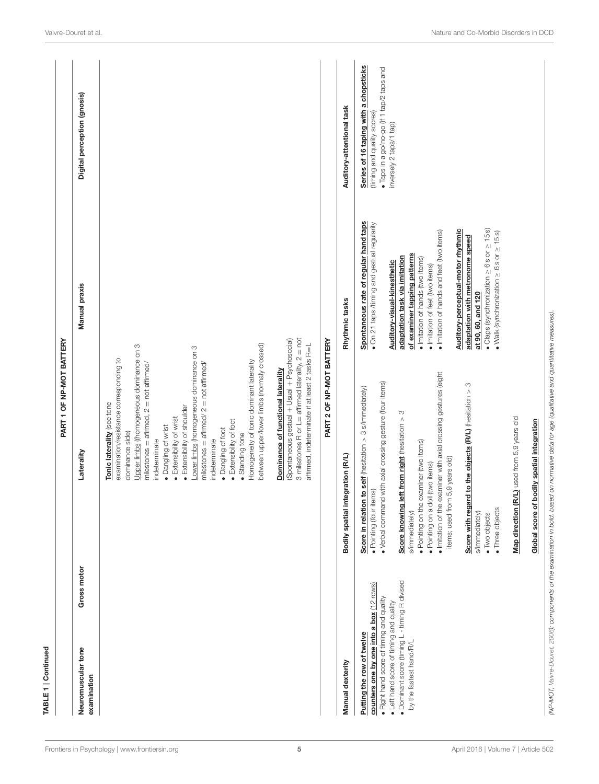| TABLE 1   Continued                                                                                                                                                                                                                      |                                                                                                                                                                                                                                                                                                                                                                                                                                                                                                                                                                                                                                                                                                                                                                 |                                                                                                                                                                                                                                                                                                                                                                                                                                                                                                                            |                                                                                                                                              |
|------------------------------------------------------------------------------------------------------------------------------------------------------------------------------------------------------------------------------------------|-----------------------------------------------------------------------------------------------------------------------------------------------------------------------------------------------------------------------------------------------------------------------------------------------------------------------------------------------------------------------------------------------------------------------------------------------------------------------------------------------------------------------------------------------------------------------------------------------------------------------------------------------------------------------------------------------------------------------------------------------------------------|----------------------------------------------------------------------------------------------------------------------------------------------------------------------------------------------------------------------------------------------------------------------------------------------------------------------------------------------------------------------------------------------------------------------------------------------------------------------------------------------------------------------------|----------------------------------------------------------------------------------------------------------------------------------------------|
|                                                                                                                                                                                                                                          | PART 1 OF NP-MOT BATTERY                                                                                                                                                                                                                                                                                                                                                                                                                                                                                                                                                                                                                                                                                                                                        |                                                                                                                                                                                                                                                                                                                                                                                                                                                                                                                            |                                                                                                                                              |
| Gross motor<br>Neuromuscular tone<br>examination                                                                                                                                                                                         | Laterality                                                                                                                                                                                                                                                                                                                                                                                                                                                                                                                                                                                                                                                                                                                                                      | Manual praxis                                                                                                                                                                                                                                                                                                                                                                                                                                                                                                              | Digital perception (gnosis)                                                                                                                  |
|                                                                                                                                                                                                                                          | 3 milestones R or $L =$ affirmed laterality, $2 =$ not<br>(Spontaneous gestual + Usual + Psychosocial)<br>between upper/lower limbs (normaly crossed)<br>affirmed, indeterminate if at least 2 tasks R=L<br>Upper limbs ((homogeneous dominance on 3<br>Lower limbs (homogeneous dominance on 3<br>examination/resistance corresponding to<br>Homogeneity of tonic dominant laterality<br>milestones = afirmed/ $2$ = not affirmed/<br>milestones = afirmed, $2 = not$ affirmed/<br>Dominance of functional laterality<br>Tonic laterality (see tone<br>• Extensibility of shoulder<br>• Extensibility of wrist<br>• Extensibility of foot<br>· Dangling of wrist<br>· Dangling of foot<br>dominance side)<br>· Standing tone<br>indeterminate<br>indeterminate |                                                                                                                                                                                                                                                                                                                                                                                                                                                                                                                            |                                                                                                                                              |
|                                                                                                                                                                                                                                          | PART 2 OF NP-MOT BATTERY                                                                                                                                                                                                                                                                                                                                                                                                                                                                                                                                                                                                                                                                                                                                        |                                                                                                                                                                                                                                                                                                                                                                                                                                                                                                                            |                                                                                                                                              |
| Manual dexterity                                                                                                                                                                                                                         | Bodily spatial integration (R/L)                                                                                                                                                                                                                                                                                                                                                                                                                                                                                                                                                                                                                                                                                                                                | Rhythmic tasks                                                                                                                                                                                                                                                                                                                                                                                                                                                                                                             | Auditory-attentional task                                                                                                                    |
| · Dominant score (timing L - timing R divised<br>counters one by one into a box (12 rows)<br>· Right hand score of timing and quality<br>• Left hand score of timing and quality<br>Putting the row of twelve<br>by the fastest hand/R/L | Initation of the examiner with axial crossing gestures (eight<br>. Verbal command with axial crossing gesture (four items)<br>S<br>Score in relation to self (hesitation > 3 s/immediately)<br>Score with regard to the objects (R/L) (hesitation ><br>Score knowing left from right (hesitation > 3<br>Map direction (R/L) used from 5,9 years old<br>Global score of bodily spatial integration<br>. Pointing on the examiner (two items)<br>items; used from 5,9 years old)<br>· Pointing on a doll (two items)<br>· Pointing (four items)<br>· Three objects<br>s/immediately)<br>s/immediately)<br>• Two objects                                                                                                                                           | Spontaneous rate of regular hand taps<br>· On 21 taps /timing and gestual regularity<br>$\bullet$ Claps (synchronization $\geq$ 6s or $\geq$ 15 s)<br>Auditory-perceptual-motor rhythmic<br>· Imitation of hands and feet (two items)<br>$Walk$ (synchronization $\geq 6s$ or $\geq 15s$ )<br>adaptation with metronome speed<br>of examiner tapping patterns<br>adaptation task via imitation<br>· Imitation of hands (two items)<br>Auditory-visual-kinesthetic<br>· Imitation of feet (two items)<br>at 90, 60, and 120 | Series of 16 taping with a chopsticks<br>· Taps in a go/no-go (if 1 tap/2 taps and<br>(timing and quality scores)<br>inversely 2 taps/1 tap) |
|                                                                                                                                                                                                                                          | (NP-MOT, Vaivre-Douret, 2006): components of the examination in bold, based on normative data for age (qualitative and quantitative measures).                                                                                                                                                                                                                                                                                                                                                                                                                                                                                                                                                                                                                  |                                                                                                                                                                                                                                                                                                                                                                                                                                                                                                                            |                                                                                                                                              |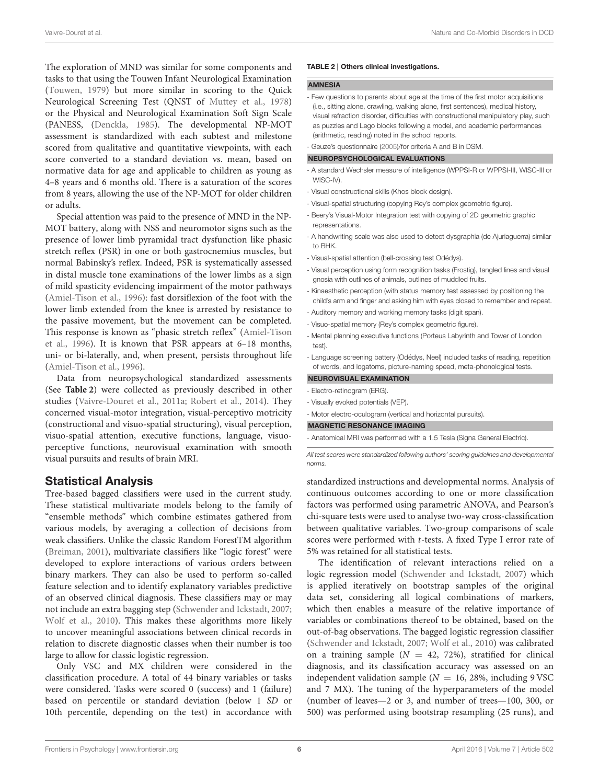The exploration of MND was similar for some components and tasks to that using the Touwen Infant Neurological Examination [\(Touwen, 1979\)](#page-11-20) but more similar in scoring to the Quick Neurological Screening Test (QNST of [Muttey et al., 1978\)](#page-11-21) or the Physical and Neurological Examination Soft Sign Scale (PANESS, [\(Denckla, 1985\)](#page-11-22). The developmental NP-MOT assessment is standardized with each subtest and milestone scored from qualitative and quantitative viewpoints, with each score converted to a standard deviation vs. mean, based on normative data for age and applicable to children as young as 4–8 years and 6 months old. There is a saturation of the scores from 8 years, allowing the use of the NP-MOT for older children or adults.

Special attention was paid to the presence of MND in the NP-MOT battery, along with NSS and neuromotor signs such as the presence of lower limb pyramidal tract dysfunction like phasic stretch reflex (PSR) in one or both gastrocnemius muscles, but normal Babinsky's reflex. Indeed, PSR is systematically assessed in distal muscle tone examinations of the lower limbs as a sign of mild spasticity evidencing impairment of the motor pathways [\(Amiel-Tison et al., 1996\)](#page-11-13): fast dorsiflexion of the foot with the lower limb extended from the knee is arrested by resistance to the passive movement, but the movement can be completed. This response is known as "phasic stretch reflex" (Amiel-Tison et al., [1996\)](#page-11-13). It is known that PSR appears at 6–18 months, uni- or bi-laterally, and, when present, persists throughout life [\(Amiel-Tison et al., 1996\)](#page-11-13).

Data from neuropsychological standardized assessments (See **[Table 2](#page-5-0)**) were collected as previously described in other studies [\(Vaivre-Douret et al., 2011a;](#page-12-1) [Robert et al., 2014\)](#page-11-19). They concerned visual-motor integration, visual-perceptivo motricity (constructional and visuo-spatial structuring), visual perception, visuo-spatial attention, executive functions, language, visuoperceptive functions, neurovisual examination with smooth visual pursuits and results of brain MRI.

### Statistical Analysis

Tree-based bagged classifiers were used in the current study. These statistical multivariate models belong to the family of "ensemble methods" which combine estimates gathered from various models, by averaging a collection of decisions from weak classifiers. Unlike the classic Random ForestTM algorithm [\(Breiman, 2001\)](#page-11-23), multivariate classifiers like "logic forest" were developed to explore interactions of various orders between binary markers. They can also be used to perform so-called feature selection and to identify explanatory variables predictive of an observed clinical diagnosis. These classifiers may or may not include an extra bagging step [\(Schwender and Ickstadt, 2007;](#page-11-24) [Wolf et al., 2010\)](#page-12-7). This makes these algorithms more likely to uncover meaningful associations between clinical records in relation to discrete diagnostic classes when their number is too large to allow for classic logistic regression.

Only VSC and MX children were considered in the classification procedure. A total of 44 binary variables or tasks were considered. Tasks were scored 0 (success) and 1 (failure) based on percentile or standard deviation (below 1 SD or 10th percentile, depending on the test) in accordance with

#### <span id="page-5-0"></span>TABLE 2 | Others clinical investigations.

#### AMNESIA

- Few questions to parents about age at the time of the first motor acquisitions (i.e., sitting alone, crawling, walking alone, first sentences), medical history, visual refraction disorder, difficulties with constructional manipulatory play, such as puzzles and Lego blocks following a model, and academic performances (arithmetic, reading) noted in the school reports.

- Geuze's questionnaire [\(2005\)](#page-11-17)/for criteria A and B in DSM.

#### NEUROPSYCHOLOGICAL EVALUATIONS

- A standard Wechsler measure of intelligence (WPPSI-R or WPPSI-III, WISC-III or WISC-IV).
- Visual constructional skills (Khos block design).
- Visual-spatial structuring (copying Rey's complex geometric figure).
- Beery's Visual-Motor Integration test with copying of 2D geometric graphic representations.
- A handwriting scale was also used to detect dysgraphia (de Ajuriaguerra) similar to BHK.
- Visual-spatial attention (bell-crossing test Odédys).
- Visual perception using form recognition tasks (Frostig), tangled lines and visual gnosia with outlines of animals, outlines of muddled fruits.
- Kinaesthetic perception (with status memory test assessed by positioning the child's arm and finger and asking him with eyes closed to remember and repeat.
- Auditory memory and working memory tasks (digit span).
- Visuo-spatial memory (Rey's complex geometric figure).
- Mental planning executive functions (Porteus Labyrinth and Tower of London test).
- Language screening battery (Odédys, Neel) included tasks of reading, repetition of words, and logatoms, picture-naming speed, meta-phonological tests.

#### NEUROVISUAL EXAMINATION

- Electro-retinogram (ERG).
- Visually evoked potentials (VEP).
- Motor electro-oculogram (vertical and horizontal pursuits).

#### MAGNETIC RESONANCE IMAGING

- Anatomical MRI was performed with a 1.5 Tesla (Signa General Electric).

All test scores were standardized following authors' scoring guidelines and developmental norms.

standardized instructions and developmental norms. Analysis of continuous outcomes according to one or more classification factors was performed using parametric ANOVA, and Pearson's chi-square tests were used to analyse two-way cross-classification between qualitative variables. Two-group comparisons of scale scores were performed with t-tests. A fixed Type I error rate of 5% was retained for all statistical tests.

The identification of relevant interactions relied on a logic regression model [\(Schwender and Ickstadt, 2007\)](#page-11-24) which is applied iteratively on bootstrap samples of the original data set, considering all logical combinations of markers, which then enables a measure of the relative importance of variables or combinations thereof to be obtained, based on the out-of-bag observations. The bagged logistic regression classifier [\(Schwender and Ickstadt, 2007;](#page-11-24) [Wolf et al., 2010\)](#page-12-7) was calibrated on a training sample ( $N = 42, 72\%$ ), stratified for clinical diagnosis, and its classification accuracy was assessed on an independent validation sample ( $N = 16$ , 28%, including 9 VSC and 7 MX). The tuning of the hyperparameters of the model (number of leaves—2 or 3, and number of trees—100, 300, or 500) was performed using bootstrap resampling (25 runs), and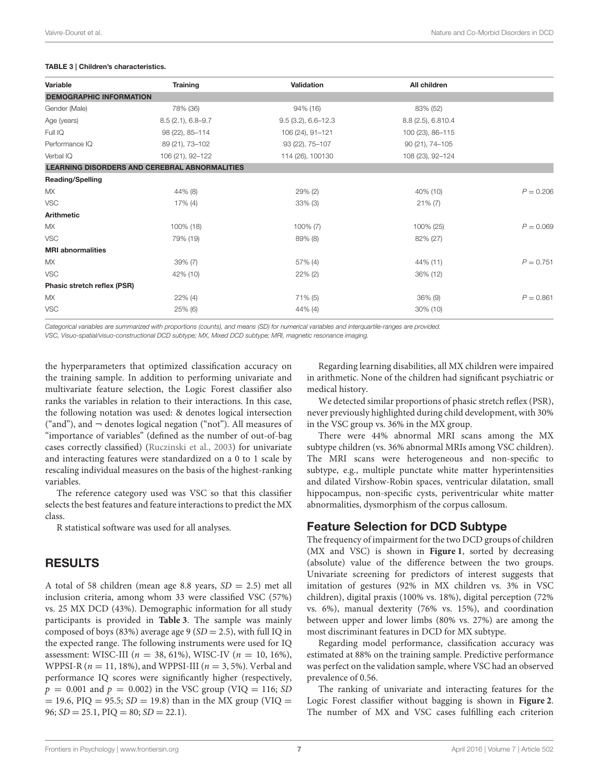#### <span id="page-6-0"></span>TABLE 3 | Children's characteristics.

| Variable                       | <b>Training</b>                                      | Validation             | All children       |             |
|--------------------------------|------------------------------------------------------|------------------------|--------------------|-------------|
| <b>DEMOGRAPHIC INFORMATION</b> |                                                      |                        |                    |             |
| Gender (Male)                  | 78% (36)                                             | 94% (16)               | 83% (52)           |             |
| Age (years)                    | $8.5(2.1), 6.8 - 9.7$                                | $9.5(3.2), 6.6 - 12.3$ | 8.8 (2.5), 6.810.4 |             |
| Full IQ                        | 98 (22), 85-114                                      | 106 (24), 91-121       | 100 (23), 86-115   |             |
| Performance IQ                 | 89 (21), 73-102                                      | 93 (22), 75-107        | 90 (21), 74-105    |             |
| Verbal IQ                      | 106 (21), 92-122                                     | 114 (26), 100130       | 108 (23), 92-124   |             |
|                                | <b>LEARNING DISORDERS AND CEREBRAL ABNORMALITIES</b> |                        |                    |             |
| <b>Reading/Spelling</b>        |                                                      |                        |                    |             |
| MX                             | 44% (8)                                              | 29% (2)                | 40% (10)           | $P = 0.206$ |
| <b>VSC</b>                     | $17\%$ (4)                                           | $33\%$ (3)             | $21\% (7)$         |             |
| <b>Arithmetic</b>              |                                                      |                        |                    |             |
| <b>MX</b>                      | 100% (18)                                            | $100\% (7)$            | 100% (25)          | $P = 0.069$ |
| <b>VSC</b>                     | 79% (19)                                             | 89% (8)                | 82% (27)           |             |
| <b>MRI</b> abnormalities       |                                                      |                        |                    |             |
| <b>MX</b>                      | $39\%$ (7)                                           | 57% (4)                | 44% (11)           | $P = 0.751$ |
| <b>VSC</b>                     | 42% (10)                                             | $22\%$ (2)             | 36% (12)           |             |
| Phasic stretch reflex (PSR)    |                                                      |                        |                    |             |
| <b>MX</b>                      | $22\%$ (4)                                           | 71% (5)                | $36\%$ (9)         | $P = 0.861$ |
| <b>VSC</b>                     | $25\%$ (6)                                           | $44\%$ (4)             | 30% (10)           |             |

Categorical variables are summarized with proportions (counts), and means (SD) for numerical variables and interquartile-ranges are provided.

VSC, Visuo-spatial/visuo-constructional DCD subtype; MX, Mixed DCD subtype; MRI, magnetic resonance imaging.

the hyperparameters that optimized classification accuracy on the training sample. In addition to performing univariate and multivariate feature selection, the Logic Forest classifier also ranks the variables in relation to their interactions. In this case, the following notation was used: & denotes logical intersection ("and"), and  $\neg$  denotes logical negation ("not"). All measures of "importance of variables" (defined as the number of out-of-bag cases correctly classified) [\(Ruczinski et al., 2003\)](#page-11-25) for univariate and interacting features were standardized on a 0 to 1 scale by rescaling individual measures on the basis of the highest-ranking variables.

The reference category used was VSC so that this classifier selects the best features and feature interactions to predict the MX class.

R statistical software was used for all analyses.

### RESULTS

A total of 58 children (mean age 8.8 years,  $SD = 2.5$ ) met all inclusion criteria, among whom 33 were classified VSC (57%) vs. 25 MX DCD (43%). Demographic information for all study participants is provided in **[Table 3](#page-6-0)**. The sample was mainly composed of boys (83%) average age 9 ( $SD = 2.5$ ), with full IQ in the expected range. The following instruments were used for IQ assessment: WISC-III ( $n = 38, 61\%$ ), WISC-IV ( $n = 10, 16\%$ ), WPPSI-R ( $n = 11$ , 18%), and WPPSI-III ( $n = 3, 5$ %). Verbal and performance IQ scores were significantly higher (respectively,  $p = 0.001$  and  $p = 0.002$ ) in the VSC group (VIQ = 116; SD  $= 19.6$ , PIQ  $= 95.5$ ; SD  $= 19.8$ ) than in the MX group (VIQ  $=$ 96;  $SD = 25.1$ ,  $PIQ = 80$ ;  $SD = 22.1$ ).

Regarding learning disabilities, all MX children were impaired in arithmetic. None of the children had significant psychiatric or medical history.

We detected similar proportions of phasic stretch reflex (PSR), never previously highlighted during child development, with 30% in the VSC group vs. 36% in the MX group.

There were 44% abnormal MRI scans among the MX subtype children (vs. 36% abnormal MRIs among VSC children). The MRI scans were heterogeneous and non-specific to subtype, e.g., multiple punctate white matter hyperintensities and dilated Virshow-Robin spaces, ventricular dilatation, small hippocampus, non-specific cysts, periventricular white matter abnormalities, dysmorphism of the corpus callosum.

# Feature Selection for DCD Subtype

The frequency of impairment for the two DCD groups of children (MX and VSC) is shown in **[Figure 1](#page-7-0)**, sorted by decreasing (absolute) value of the difference between the two groups. Univariate screening for predictors of interest suggests that imitation of gestures (92% in MX children vs. 3% in VSC children), digital praxis (100% vs. 18%), digital perception (72% vs. 6%), manual dexterity (76% vs. 15%), and coordination between upper and lower limbs (80% vs. 27%) are among the most discriminant features in DCD for MX subtype.

Regarding model performance, classification accuracy was estimated at 88% on the training sample. Predictive performance was perfect on the validation sample, where VSC had an observed prevalence of 0.56.

The ranking of univariate and interacting features for the Logic Forest classifier without bagging is shown in **[Figure 2](#page-7-1)**. The number of MX and VSC cases fulfilling each criterion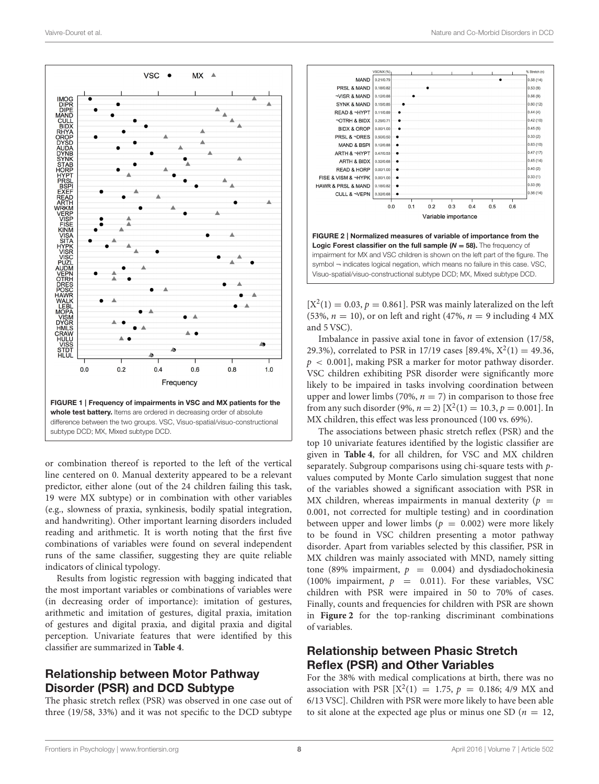

<span id="page-7-0"></span>or combination thereof is reported to the left of the vertical line centered on 0. Manual dexterity appeared to be a relevant predictor, either alone (out of the 24 children failing this task, 19 were MX subtype) or in combination with other variables (e.g., slowness of praxia, synkinesis, bodily spatial integration, and handwriting). Other important learning disorders included reading and arithmetic. It is worth noting that the first five combinations of variables were found on several independent runs of the same classifier, suggesting they are quite reliable indicators of clinical typology.

Results from logistic regression with bagging indicated that the most important variables or combinations of variables were (in decreasing order of importance): imitation of gestures, arithmetic and imitation of gestures, digital praxia, imitation of gestures and digital praxia, and digital praxia and digital perception. Univariate features that were identified by this classifier are summarized in **[Table 4](#page-8-0)**.

# Relationship between Motor Pathway Disorder (PSR) and DCD Subtype

The phasic stretch reflex (PSR) was observed in one case out of three (19/58, 33%) and it was not specific to the DCD subtype



<span id="page-7-1"></span> $[X^2(1) = 0.03, p = 0.861]$ . PSR was mainly lateralized on the left (53%,  $n = 10$ ), or on left and right (47%,  $n = 9$  including 4 MX and 5 VSC).

Imbalance in passive axial tone in favor of extension (17/58, 29.3%), correlated to PSR in 17/19 cases [89.4%,  $X^2(1) = 49.36$ ,  $p < 0.001$ , making PSR a marker for motor pathway disorder. VSC children exhibiting PSR disorder were significantly more likely to be impaired in tasks involving coordination between upper and lower limbs (70%,  $n = 7$ ) in comparison to those free from any such disorder (9%,  $n = 2$ ) [ $X^2(1) = 10.3$ ,  $p = 0.001$ ]. In MX children, this effect was less pronounced (100 vs. 69%).

The associations between phasic stretch reflex (PSR) and the top 10 univariate features identified by the logistic classifier are given in **[Table 4](#page-8-0)**, for all children, for VSC and MX children separately. Subgroup comparisons using chi-square tests with pvalues computed by Monte Carlo simulation suggest that none of the variables showed a significant association with PSR in MX children, whereas impairments in manual dexterity ( $p =$ 0.001, not corrected for multiple testing) and in coordination between upper and lower limbs ( $p = 0.002$ ) were more likely to be found in VSC children presenting a motor pathway disorder. Apart from variables selected by this classifier, PSR in MX children was mainly associated with MND, namely sitting tone (89% impairment,  $p = 0.004$ ) and dysdiadochokinesia (100% impairment,  $p = 0.011$ ). For these variables, VSC children with PSR were impaired in 50 to 70% of cases. Finally, counts and frequencies for children with PSR are shown in **[Figure 2](#page-7-1)** for the top-ranking discriminant combinations of variables.

# Relationship between Phasic Stretch Reflex (PSR) and Other Variables

For the 38% with medical complications at birth, there was no association with PSR  $[X^2(1) = 1.75, p = 0.186; 4/9$  MX and 6/13 VSC]. Children with PSR were more likely to have been able to sit alone at the expected age plus or minus one SD ( $n = 12$ ,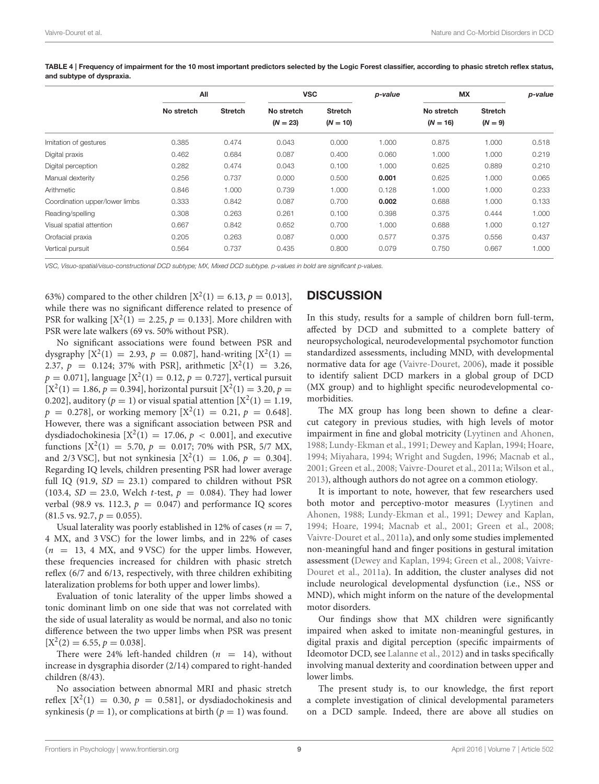|                                | All<br>No stretch |                | <b>VSC</b><br>No stretch | <b>Stretch</b> | p-value | <b>MX</b><br>No stretch | <b>Stretch</b> | p-value |
|--------------------------------|-------------------|----------------|--------------------------|----------------|---------|-------------------------|----------------|---------|
|                                |                   | <b>Stretch</b> |                          |                |         |                         |                |         |
|                                |                   |                | $(N = 23)$               | $(N = 10)$     |         | $(N = 16)$              | $(N = 9)$      |         |
| Imitation of gestures          | 0.385             | 0.474          | 0.043                    | 0.000          | 1.000   | 0.875                   | 1.000          | 0.518   |
| Digital praxis                 | 0.462             | 0.684          | 0.087                    | 0.400          | 0.060   | 1.000                   | 1.000          | 0.219   |
| Digital perception             | 0.282             | 0.474          | 0.043                    | 0.100          | 1.000   | 0.625                   | 0.889          | 0.210   |
| Manual dexterity               | 0.256             | 0.737          | 0.000                    | 0.500          | 0.001   | 0.625                   | 1.000          | 0.065   |
| Arithmetic                     | 0.846             | 1.000          | 0.739                    | 1.000          | 0.128   | 1.000                   | 1.000          | 0.233   |
| Coordination upper/lower limbs | 0.333             | 0.842          | 0.087                    | 0.700          | 0.002   | 0.688                   | 1.000          | 0.133   |
| Reading/spelling               | 0.308             | 0.263          | 0.261                    | 0.100          | 0.398   | 0.375                   | 0.444          | 1.000   |
| Visual spatial attention       | 0.667             | 0.842          | 0.652                    | 0.700          | 1.000   | 0.688                   | 1.000          | 0.127   |
| Orofacial praxia               | 0.205             | 0.263          | 0.087                    | 0.000          | 0.577   | 0.375                   | 0.556          | 0.437   |
| Vertical pursuit               | 0.564             | 0.737          | 0.435                    | 0.800          | 0.079   | 0.750                   | 0.667          | 1.000   |

<span id="page-8-0"></span>TABLE 4 | Frequency of impairment for the 10 most important predictors selected by the Logic Forest classifier, according to phasic stretch reflex status, and subtype of dyspraxia.

VSC, Visuo-spatial/visuo-constructional DCD subtype; MX, Mixed DCD subtype. p-values in bold are significant p-values.

63%) compared to the other children  $[X^2(1) = 6.13, p = 0.013]$ , while there was no significant difference related to presence of PSR for walking  $[X^2(1) = 2.25, p = 0.133]$ . More children with PSR were late walkers (69 vs. 50% without PSR).

No significant associations were found between PSR and dysgraphy  $[X^2(1) = 2.93, p = 0.087]$ , hand-writing  $[X^2(1) =$ 2.37,  $p = 0.124$ ; 37% with PSR], arithmetic  $[X^2(1) = 3.26$ ,  $p = 0.071$ ], language [X<sup>2</sup>(1) = 0.12,  $p = 0.727$ ], vertical pursuit  $[X^2(1) = 1.86, p = 0.394]$ , horizontal pursuit  $[X^2(1) = 3.20, p = 0.394]$ 0.202], auditory ( $p = 1$ ) or visual spatial attention [ $X^2(1) = 1.19$ ,  $p = 0.278$ , or working memory  $[X^2(1) = 0.21, p = 0.648]$ . However, there was a significant association between PSR and dysdiadochokinesia  $[X^2(1) = 17.06, p < 0.001]$ , and executive functions  $[X^2(1) = 5.70, p = 0.017; 70\%$  with PSR, 5/7 MX, and 2/3 VSC], but not synkinesia  $[X^2(1) = 1.06, p = 0.304]$ . Regarding IQ levels, children presenting PSR had lower average full IQ (91.9,  $SD = 23.1$ ) compared to children without PSR (103.4,  $SD = 23.0$ , Welch t-test,  $p = 0.084$ ). They had lower verbal (98.9 vs. 112.3,  $p = 0.047$ ) and performance IQ scores  $(81.5 \text{ vs. } 92.7, p = 0.055).$ 

Usual laterality was poorly established in 12% of cases ( $n = 7$ , 4 MX, and 3 VSC) for the lower limbs, and in 22% of cases  $(n = 13, 4$  MX, and 9 VSC) for the upper limbs. However, these frequencies increased for children with phasic stretch reflex (6/7 and 6/13, respectively, with three children exhibiting lateralization problems for both upper and lower limbs).

Evaluation of tonic laterality of the upper limbs showed a tonic dominant limb on one side that was not correlated with the side of usual laterality as would be normal, and also no tonic difference between the two upper limbs when PSR was present  $[X^2(2) = 6.55, p = 0.038].$ 

There were 24% left-handed children ( $n = 14$ ), without increase in dysgraphia disorder (2/14) compared to right-handed children (8/43).

No association between abnormal MRI and phasic stretch reflex  $[X^2(1) = 0.30, p = 0.581]$ , or dysdiadochokinesis and synkinesis ( $p = 1$ ), or complications at birth ( $p = 1$ ) was found.

# **DISCUSSION**

In this study, results for a sample of children born full-term, affected by DCD and submitted to a complete battery of neuropsychological, neurodevelopmental psychomotor function standardized assessments, including MND, with developmental normative data for age [\(Vaivre-Douret, 2006\)](#page-12-5), made it possible to identify salient DCD markers in a global group of DCD (MX group) and to highlight specific neurodevelopmental comorbidities.

The MX group has long been shown to define a clearcut category in previous studies, with high levels of motor impairment in fine and global motricity [\(Lyytinen and Ahonen,](#page-11-8) [1988;](#page-11-8) [Lundy-Ekman et al., 1991;](#page-11-26) [Dewey and Kaplan, 1994;](#page-11-1) [Hoare,](#page-11-2) [1994;](#page-11-2) [Miyahara, 1994;](#page-11-3) [Wright and Sugden, 1996;](#page-12-0) [Macnab et al.,](#page-11-4) [2001;](#page-11-4) [Green et al., 2008;](#page-11-5) [Vaivre-Douret et al., 2011a;](#page-12-1) [Wilson et al.,](#page-12-8) [2013\)](#page-12-8), although authors do not agree on a common etiology.

It is important to note, however, that few researchers used both motor and perceptivo-motor measures (Lyytinen and Ahonen, [1988;](#page-11-8) [Lundy-Ekman et al., 1991;](#page-11-26) [Dewey and Kaplan,](#page-11-1) [1994;](#page-11-1) [Hoare, 1994;](#page-11-2) [Macnab et al., 2001;](#page-11-4) [Green et al., 2008;](#page-11-5) [Vaivre-Douret et al., 2011a\)](#page-12-1), and only some studies implemented non-meaningful hand and finger positions in gestural imitation assessment [\(Dewey and Kaplan, 1994;](#page-11-1) [Green et al., 2008;](#page-11-5) Vaivre-Douret et al., [2011a\)](#page-12-1). In addition, the cluster analyses did not include neurological developmental dysfunction (i.e., NSS or MND), which might inform on the nature of the developmental motor disorders.

Our findings show that MX children were significantly impaired when asked to imitate non-meaningful gestures, in digital praxis and digital perception (specific impairments of Ideomotor DCD, see [Lalanne et al., 2012\)](#page-11-9) and in tasks specifically involving manual dexterity and coordination between upper and lower limbs.

The present study is, to our knowledge, the first report a complete investigation of clinical developmental parameters on a DCD sample. Indeed, there are above all studies on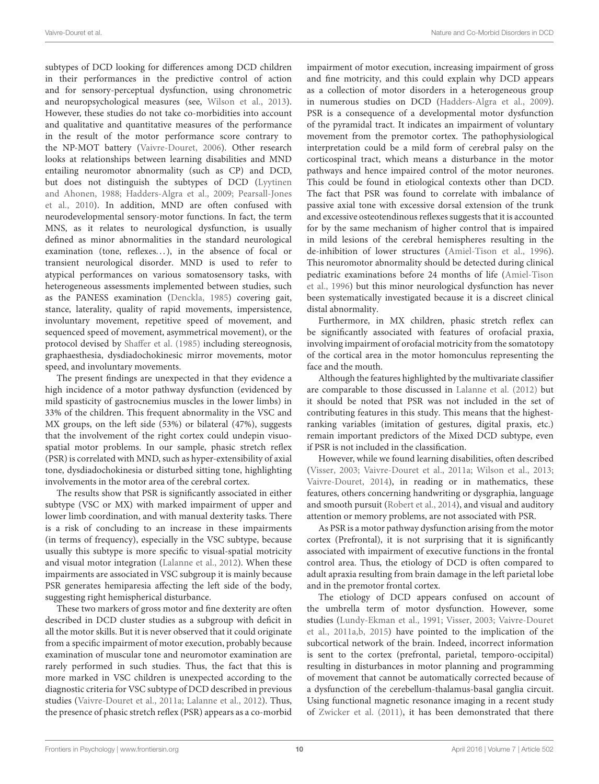subtypes of DCD looking for differences among DCD children in their performances in the predictive control of action and for sensory-perceptual dysfunction, using chronometric and neuropsychological measures (see, [Wilson et al., 2013\)](#page-12-8). However, these studies do not take co-morbidities into account and qualitative and quantitative measures of the performance in the result of the motor performance score contrary to the NP-MOT battery [\(Vaivre-Douret, 2006\)](#page-12-5). Other research looks at relationships between learning disabilities and MND entailing neuromotor abnormality (such as CP) and DCD, but does not distinguish the subtypes of DCD (Lyytinen and Ahonen, [1988;](#page-11-8) [Hadders-Algra et al., 2009;](#page-11-11) Pearsall-Jones et al., [2010\)](#page-11-12). In addition, MND are often confused with neurodevelopmental sensory-motor functions. In fact, the term MNS, as it relates to neurological dysfunction, is usually defined as minor abnormalities in the standard neurological examination (tone, reflexes...), in the absence of focal or transient neurological disorder. MND is used to refer to atypical performances on various somatosensory tasks, with heterogeneous assessments implemented between studies, such as the PANESS examination [\(Denckla, 1985\)](#page-11-22) covering gait, stance, laterality, quality of rapid movements, impersistence, involuntary movement, repetitive speed of movement, and sequenced speed of movement, asymmetrical movement), or the protocol devised by [Shaffer et al. \(1985\)](#page-11-10) including stereognosis, graphaesthesia, dysdiadochokinesic mirror movements, motor speed, and involuntary movements.

The present findings are unexpected in that they evidence a high incidence of a motor pathway dysfunction (evidenced by mild spasticity of gastrocnemius muscles in the lower limbs) in 33% of the children. This frequent abnormality in the VSC and MX groups, on the left side (53%) or bilateral (47%), suggests that the involvement of the right cortex could undepin visuospatial motor problems. In our sample, phasic stretch reflex (PSR) is correlated with MND, such as hyper-extensibility of axial tone, dysdiadochokinesia or disturbed sitting tone, highlighting involvements in the motor area of the cerebral cortex.

The results show that PSR is significantly associated in either subtype (VSC or MX) with marked impairment of upper and lower limb coordination, and with manual dexterity tasks. There is a risk of concluding to an increase in these impairments (in terms of frequency), especially in the VSC subtype, because usually this subtype is more specific to visual-spatial motricity and visual motor integration [\(Lalanne et al., 2012\)](#page-11-9). When these impairments are associated in VSC subgroup it is mainly because PSR generates hemiparesia affecting the left side of the body, suggesting right hemispherical disturbance.

These two markers of gross motor and fine dexterity are often described in DCD cluster studies as a subgroup with deficit in all the motor skills. But it is never observed that it could originate from a specific impairment of motor execution, probably because examination of muscular tone and neuromotor examination are rarely performed in such studies. Thus, the fact that this is more marked in VSC children is unexpected according to the diagnostic criteria for VSC subtype of DCD described in previous studies [\(Vaivre-Douret et al., 2011a;](#page-12-1) [Lalanne et al., 2012\)](#page-11-9). Thus, the presence of phasic stretch reflex (PSR) appears as a co-morbid impairment of motor execution, increasing impairment of gross and fine motricity, and this could explain why DCD appears as a collection of motor disorders in a heterogeneous group in numerous studies on DCD [\(Hadders-Algra et al., 2009\)](#page-11-11). PSR is a consequence of a developmental motor dysfunction of the pyramidal tract. It indicates an impairment of voluntary movement from the premotor cortex. The pathophysiological interpretation could be a mild form of cerebral palsy on the corticospinal tract, which means a disturbance in the motor pathways and hence impaired control of the motor neurones. This could be found in etiological contexts other than DCD. The fact that PSR was found to correlate with imbalance of passive axial tone with excessive dorsal extension of the trunk and excessive osteotendinous reflexes suggests that it is accounted for by the same mechanism of higher control that is impaired in mild lesions of the cerebral hemispheres resulting in the de-inhibition of lower structures [\(Amiel-Tison et al., 1996\)](#page-11-13). This neuromotor abnormality should be detected during clinical pediatric examinations before 24 months of life (Amiel-Tison et al., [1996\)](#page-11-13) but this minor neurological dysfunction has never been systematically investigated because it is a discreet clinical distal abnormality.

Furthermore, in MX children, phasic stretch reflex can be significantly associated with features of orofacial praxia, involving impairment of orofacial motricity from the somatotopy of the cortical area in the motor homonculus representing the face and the mouth.

Although the features highlighted by the multivariate classifier are comparable to those discussed in [Lalanne et al. \(2012\)](#page-11-9) but it should be noted that PSR was not included in the set of contributing features in this study. This means that the highestranking variables (imitation of gestures, digital praxis, etc.) remain important predictors of the Mixed DCD subtype, even if PSR is not included in the classification.

However, while we found learning disabilities, often described [\(Visser, 2003;](#page-12-9) [Vaivre-Douret et al., 2011a;](#page-12-1) [Wilson et al., 2013;](#page-12-8) [Vaivre-Douret, 2014\)](#page-12-4), in reading or in mathematics, these features, others concerning handwriting or dysgraphia, language and smooth pursuit [\(Robert et al., 2014\)](#page-11-19), and visual and auditory attention or memory problems, are not associated with PSR.

As PSR is a motor pathway dysfunction arising from the motor cortex (Prefrontal), it is not surprising that it is significantly associated with impairment of executive functions in the frontal control area. Thus, the etiology of DCD is often compared to adult apraxia resulting from brain damage in the left parietal lobe and in the premotor frontal cortex.

The etiology of DCD appears confused on account of the umbrella term of motor dysfunction. However, some studies [\(Lundy-Ekman et al., 1991;](#page-11-26) [Visser, 2003;](#page-12-9) Vaivre-Douret et al., [2011a](#page-12-1)[,b,](#page-12-2) [2015\)](#page-12-10) have pointed to the implication of the subcortical network of the brain. Indeed, incorrect information is sent to the cortex (prefrontal, parietal, temporo-occipital) resulting in disturbances in motor planning and programming of movement that cannot be automatically corrected because of a dysfunction of the cerebellum-thalamus-basal ganglia circuit. Using functional magnetic resonance imaging in a recent study of [Zwicker et al. \(2011\)](#page-12-11), it has been demonstrated that there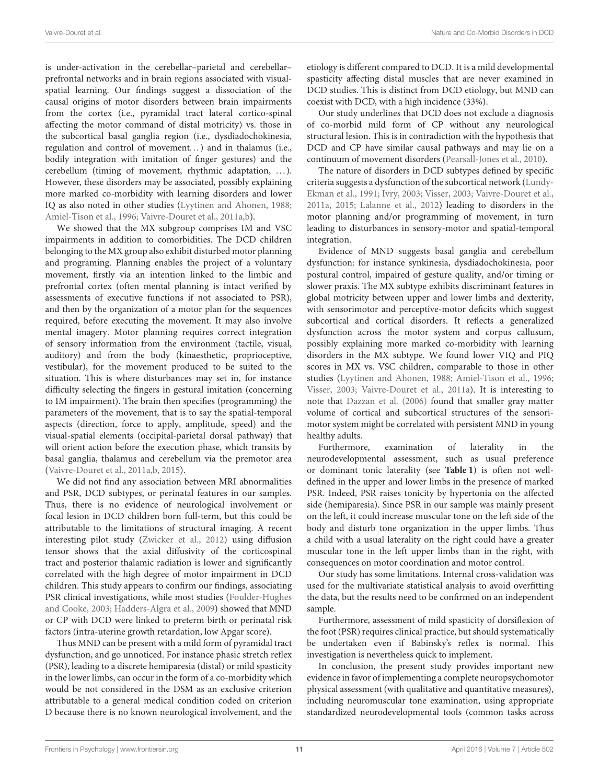is under-activation in the cerebellar–parietal and cerebellar– prefrontal networks and in brain regions associated with visualspatial learning. Our findings suggest a dissociation of the causal origins of motor disorders between brain impairments from the cortex (i.e., pyramidal tract lateral cortico-spinal affecting the motor command of distal motricity) vs. those in the subcortical basal ganglia region (i.e., dysdiadochokinesia, regulation and control of movement. . . ) and in thalamus (i.e., bodily integration with imitation of finger gestures) and the cerebellum (timing of movement, rhythmic adaptation, . . . ). However, these disorders may be associated, possibly explaining more marked co-morbidity with learning disorders and lower IQ as also noted in other studies [\(Lyytinen and Ahonen, 1988;](#page-11-8) [Amiel-Tison et al., 1996;](#page-11-13) [Vaivre-Douret et al., 2011a](#page-12-1)[,b\)](#page-12-2).

We showed that the MX subgroup comprises IM and VSC impairments in addition to comorbidities. The DCD children belonging to the MX group also exhibit disturbed motor planning and programing. Planning enables the project of a voluntary movement, firstly via an intention linked to the limbic and prefrontal cortex (often mental planning is intact verified by assessments of executive functions if not associated to PSR), and then by the organization of a motor plan for the sequences required, before executing the movement. It may also involve mental imagery. Motor planning requires correct integration of sensory information from the environment (tactile, visual, auditory) and from the body (kinaesthetic, proprioceptive, vestibular), for the movement produced to be suited to the situation. This is where disturbances may set in, for instance difficulty selecting the fingers in gestural imitation (concerning to IM impairment). The brain then specifies (programming) the parameters of the movement, that is to say the spatial-temporal aspects (direction, force to apply, amplitude, speed) and the visual-spatial elements (occipital-parietal dorsal pathway) that will orient action before the execution phase, which transits by basal ganglia, thalamus and cerebellum via the premotor area [\(Vaivre-Douret et al., 2011a,](#page-12-1)[b,](#page-12-2) [2015\)](#page-12-10).

We did not find any association between MRI abnormalities and PSR, DCD subtypes, or perinatal features in our samples. Thus, there is no evidence of neurological involvement or focal lesion in DCD children born full-term, but this could be attributable to the limitations of structural imaging. A recent interesting pilot study [\(Zwicker et al., 2012\)](#page-12-12) using diffusion tensor shows that the axial diffusivity of the corticospinal tract and posterior thalamic radiation is lower and significantly correlated with the high degree of motor impairment in DCD children. This study appears to confirm our findings, associating PSR clinical investigations, while most studies (Foulder-Hughes and Cooke, [2003;](#page-11-14) [Hadders-Algra et al., 2009\)](#page-11-11) showed that MND or CP with DCD were linked to preterm birth or perinatal risk factors (intra-uterine growth retardation, low Apgar score).

Thus MND can be present with a mild form of pyramidal tract dysfunction, and go unnoticed. For instance phasic stretch reflex (PSR), leading to a discrete hemiparesia (distal) or mild spasticity in the lower limbs, can occur in the form of a co-morbidity which would be not considered in the DSM as an exclusive criterion attributable to a general medical condition coded on criterion D because there is no known neurological involvement, and the etiology is different compared to DCD. It is a mild developmental spasticity affecting distal muscles that are never examined in DCD studies. This is distinct from DCD etiology, but MND can coexist with DCD, with a high incidence (33%).

Our study underlines that DCD does not exclude a diagnosis of co-morbid mild form of CP without any neurological structural lesion. This is in contradiction with the hypothesis that DCD and CP have similar causal pathways and may lie on a continuum of movement disorders [\(Pearsall-Jones et al., 2010\)](#page-11-12).

The nature of disorders in DCD subtypes defined by specific criteria suggests a dysfunction of the subcortical network (Lundy-Ekman et al., [1991;](#page-11-26) [Ivry, 2003;](#page-11-27) [Visser, 2003;](#page-12-9) [Vaivre-Douret](#page-12-1) et al., [2011a,](#page-12-1) [2015;](#page-12-10) [Lalanne et al., 2012\)](#page-11-9) leading to disorders in the motor planning and/or programming of movement, in turn leading to disturbances in sensory-motor and spatial-temporal integration.

Evidence of MND suggests basal ganglia and cerebellum dysfunction: for instance synkinesia, dysdiadochokinesia, poor postural control, impaired of gesture quality, and/or timing or slower praxis. The MX subtype exhibits discriminant features in global motricity between upper and lower limbs and dexterity, with sensorimotor and perceptive-motor deficits which suggest subcortical and cortical disorders. It reflects a generalized dysfunction across the motor system and corpus callusum, possibly explaining more marked co-morbidity with learning disorders in the MX subtype. We found lower VIQ and PIQ scores in MX vs. VSC children, comparable to those in other studies [\(Lyytinen and Ahonen, 1988;](#page-11-8) [Amiel-Tison et al., 1996;](#page-11-13) [Visser, 2003;](#page-12-9) [Vaivre-Douret et al., 2011a\)](#page-12-1). It is interesting to note that [Dazzan et al. \(2006\)](#page-11-28) found that smaller gray matter volume of cortical and subcortical structures of the sensorimotor system might be correlated with persistent MND in young healthy adults.

Furthermore, examination of laterality in the neurodevelopmental assessment, such as usual preference or dominant tonic laterality (see **[Table 1](#page-3-0)**) is often not welldefined in the upper and lower limbs in the presence of marked PSR. Indeed, PSR raises tonicity by hypertonia on the affected side (hemiparesia). Since PSR in our sample was mainly present on the left, it could increase muscular tone on the left side of the body and disturb tone organization in the upper limbs. Thus a child with a usual laterality on the right could have a greater muscular tone in the left upper limbs than in the right, with consequences on motor coordination and motor control.

Our study has some limitations. Internal cross-validation was used for the multivariate statistical analysis to avoid overfitting the data, but the results need to be confirmed on an independent sample.

Furthermore, assessment of mild spasticity of dorsiflexion of the foot (PSR) requires clinical practice, but should systematically be undertaken even if Babinsky's reflex is normal. This investigation is nevertheless quick to implement.

In conclusion, the present study provides important new evidence in favor of implementing a complete neuropsychomotor physical assessment (with qualitative and quantitative measures), including neuromuscular tone examination, using appropriate standardized neurodevelopmental tools (common tasks across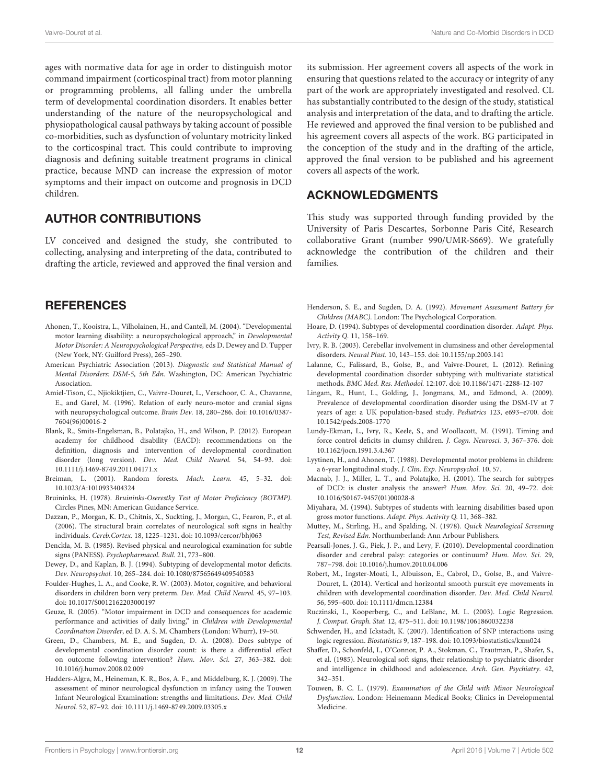ages with normative data for age in order to distinguish motor command impairment (corticospinal tract) from motor planning or programming problems, all falling under the umbrella term of developmental coordination disorders. It enables better understanding of the nature of the neuropsychological and physiopathological causal pathways by taking account of possible co-morbidities, such as dysfunction of voluntary motricity linked to the corticospinal tract. This could contribute to improving diagnosis and defining suitable treatment programs in clinical practice, because MND can increase the expression of motor symptoms and their impact on outcome and prognosis in DCD children.

# AUTHOR CONTRIBUTIONS

LV conceived and designed the study, she contributed to collecting, analysing and interpreting of the data, contributed to drafting the article, reviewed and approved the final version and

# **REFERENCES**

- <span id="page-11-16"></span>Ahonen, T., Kooistra, L., Vilholainen, H., and Cantell, M. (2004). "Developmental motor learning disability: a neuropsychological approach," in Developmental Motor Disorder: A Neuropsychological Perspective, eds D. Dewey and D. Tupper (New York, NY: Guilford Press), 265–290.
- <span id="page-11-0"></span>American Psychiatric Association (2013). Diagnostic and Statistical Manual of Mental Disorders: DSM-5, 5th Edn. Washington, DC: American Psychiatric Association.
- <span id="page-11-13"></span>Amiel-Tison, C., Njiokiktjien, C., Vaivre-Douret, L., Verschoor, C. A., Chavanne, E., and Garel, M. (1996). Relation of early neuro-motor and cranial signs with neuropsychological outcome. Brain Dev. 18, 280–286. doi: 10.1016/0387- 7604(96)00016-2
- <span id="page-11-18"></span>Blank, R., Smits-Engelsman, B., Polatajko, H., and Wilson, P. (2012). European academy for childhood disability (EACD): recommendations on the definition, diagnosis and intervention of developmental coordination disorder (long version). Dev. Med. Child Neurol. 54, 54–93. doi: 10.1111/j.1469-8749.2011.04171.x
- <span id="page-11-23"></span>Breiman, L. (2001). Random forests. Mach. Learn. 45, 5–32. doi: 10.1023/A:1010933404324
- <span id="page-11-7"></span>Bruininks, H. (1978). Bruininks-Oserestky Test of Motor Proficiency (BOTMP). Circles Pines, MN: American Guidance Service.
- <span id="page-11-28"></span>Dazzan, P., Morgan, K. D., Chitnis, X., Suckting, J., Morgan, C., Fearon, P., et al. (2006). The structural brain correlates of neurological soft signs in healthy individuals. Cereb.Cortex. 18, 1225–1231. doi: 10.1093/cercor/bhj063
- <span id="page-11-22"></span>Denckla, M. B. (1985). Revised physical and neurological examination for subtle signs (PANESS). Psychopharmacol. Bull. 21, 773–800.
- <span id="page-11-1"></span>Dewey, D., and Kaplan, B. J. (1994). Subtyping of developmental motor deficits. Dev. Neuropsychol. 10, 265–284. doi: 10.1080/87565649409540583
- <span id="page-11-14"></span>Foulder-Hughes, L. A., and Cooke, R. W. (2003). Motor, cognitive, and behavioral disorders in children born very preterm. Dev. Med. Child Neurol. 45, 97–103. doi: 10.1017/S0012162203000197
- <span id="page-11-17"></span>Geuze, R. (2005). "Motor impairment in DCD and consequences for academic performance and activities of daily living," in Children with Developmental Coordination Disorder, ed D. A. S. M. Chambers (London: Whurr), 19–50.
- <span id="page-11-5"></span>Green, D., Chambers, M. E., and Sugden, D. A. (2008). Does subtype of developmental coordination disorder count: is there a differential effect on outcome following intervention? Hum. Mov. Sci. 27, 363–382. doi: 10.1016/j.humov.2008.02.009
- <span id="page-11-11"></span>Hadders-Algra, M., Heineman, K. R., Bos, A. F., and Middelburg, K. J. (2009). The assessment of minor neurological dysfunction in infancy using the Touwen Infant Neurological Examination: strengths and limitations. Dev. Med. Child Neurol. 52, 87–92. doi: 10.1111/j.1469-8749.2009.03305.x

its submission. Her agreement covers all aspects of the work in ensuring that questions related to the accuracy or integrity of any part of the work are appropriately investigated and resolved. CL has substantially contributed to the design of the study, statistical analysis and interpretation of the data, and to drafting the article. He reviewed and approved the final version to be published and his agreement covers all aspects of the work. BG participated in the conception of the study and in the drafting of the article, approved the final version to be published and his agreement covers all aspects of the work.

# ACKNOWLEDGMENTS

This study was supported through funding provided by the University of Paris Descartes, Sorbonne Paris Cité, Research collaborative Grant (number 990/UMR-S669). We gratefully acknowledge the contribution of the children and their families.

- <span id="page-11-6"></span>Henderson, S. E., and Sugden, D. A. (1992). Movement Assessment Battery for Children (MABC). London: The Psychological Corporation.
- <span id="page-11-2"></span>Hoare, D. (1994). Subtypes of developmental coordination disorder. Adapt. Phys. Activity Q. 11, 158–169.
- <span id="page-11-27"></span>Ivry, R. B. (2003). Cerebellar involvement in clumsiness and other developmental disorders. Neural Plast. 10, 143–155. doi: 10.1155/np.2003.141
- <span id="page-11-9"></span>Lalanne, C., Falissard, B., Golse, B., and Vaivre-Douret, L. (2012). Refining developmental coordination disorder subtyping with multivariate statistical methods. BMC Med. Res. Methodol. 12:107. doi: 10.1186/1471-2288-12-107
- <span id="page-11-15"></span>Lingam, R., Hunt, L., Golding, J., Jongmans, M., and Edmond, A. (2009). Prevalence of developmental coordination disorder using the DSM-IV at 7 years of age: a UK population-based study. Pediatrics 123, e693–e700. doi: 10.1542/peds.2008-1770
- <span id="page-11-26"></span>Lundy-Ekman, L., Ivry, R., Keele, S., and Woollacott, M. (1991). Timing and force control deficits in clumsy children. J. Cogn. Neurosci. 3, 367–376. doi: 10.1162/jocn.1991.3.4.367
- <span id="page-11-8"></span>Lyytinen, H., and Ahonen, T. (1988). Developmental motor problems in children: a 6-year longitudinal study. J. Clin. Exp. Neuropsychol. 10, 57.
- <span id="page-11-4"></span>Macnab, J. J., Miller, L. T., and Polatajko, H. (2001). The search for subtypes of DCD: is cluster analysis the answer? Hum. Mov. Sci. 20, 49–72. doi: 10.1016/S0167-9457(01)00028-8
- <span id="page-11-3"></span>Miyahara, M. (1994). Subtypes of students with learning disabilities based upon gross motor functions. Adapt. Phys. Activity Q. 11, 368–382.
- <span id="page-11-21"></span>Muttey, M., Stirling, H., and Spalding, N. (1978). Quick Neurological Screening Test, Revised Edn. Northumberland: Ann Arbour Publishers.
- <span id="page-11-12"></span>Pearsall-Jones, J. G., Piek, J. P., and Levy, F. (2010). Developmental coordination disorder and cerebral palsy: categories or continuum? Hum. Mov. Sci. 29, 787–798. doi: 10.1016/j.humov.2010.04.006
- <span id="page-11-19"></span>Robert, M., Ingster-Moati, I., Albuisson, E., Cabrol, D., Golse, B., and Vaivre-Douret, L. (2014). Vertical and horizontal smooth pursuit eye movements in children with developmental coordination disorder. Dev. Med. Child Neurol. 56, 595–600. doi: 10.1111/dmcn.12384
- <span id="page-11-25"></span>Ruczinski, I., Kooperberg, C., and LeBlanc, M. L. (2003). Logic Regression. J. Comput. Graph. Stat. 12, 475–511. doi: 10.1198/1061860032238
- <span id="page-11-24"></span>Schwender, H., and Ickstadt, K. (2007). Identification of SNP interactions using logic regression. Biostatistics 9, 187–198. doi: 10.1093/biostatistics/kxm024
- <span id="page-11-10"></span>Shaffer, D., Schonfeld, I., O'Connor, P. A., Stokman, C., Trautman, P., Shafer, S., et al. (1985). Neurological soft signs, their relationship to psychiatric disorder and intelligence in childhood and adolescence. Arch. Gen. Psychiatry. 42, 342–351.
- <span id="page-11-20"></span>Touwen, B. C. L. (1979). Examination of the Child with Minor Neurological Dysfunction. London: Heinemann Medical Books; Clinics in Developmental Medicine.